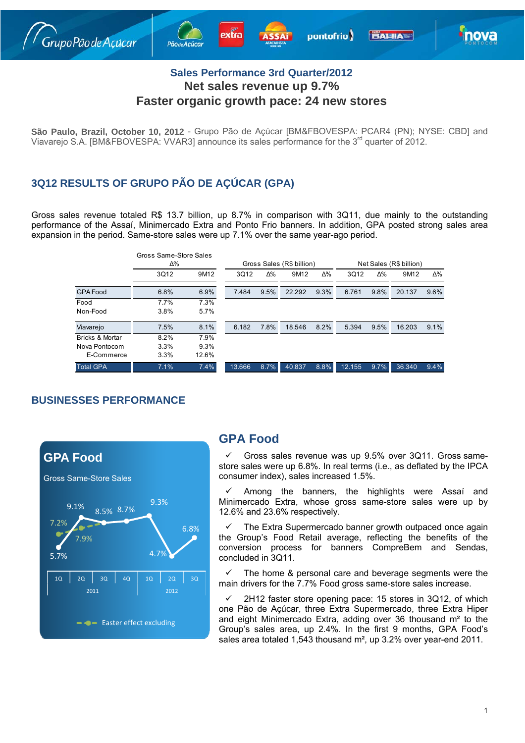



### **Sales Performance 3rd Quarter/2012 Net sales revenue up 9.7% Faster organic growth pace: 24 new stores**

**São Paulo, Brazil, October 10, 2012** - Grupo Pão de Açúcar [BM&FBOVESPA: PCAR4 (PN); NYSE: CBD] and Viavarejo S.A. [BM&FBOVESPA: VVAR3] announce its sales performance for the 3<sup>rd</sup> quarter of 2012.

# **3Q12 RESULTS OF GRUPO PÃO DE AÇÚCAR (GPA)**

Gross sales revenue totaled R\$ 13.7 billion, up 8.7% in comparison with 3Q11, due mainly to the outstanding performance of the Assaí, Minimercado Extra and Ponto Frio banners. In addition, GPA posted strong sales area expansion in the period. Same-store sales were up 7.1% over the same year-ago period.

|                            | Gross Same-Store Sales<br>Δ% |       | Gross Sales (R\$ billion) |      |        |            | Net Sales (R\$ billion) |            |        |         |
|----------------------------|------------------------------|-------|---------------------------|------|--------|------------|-------------------------|------------|--------|---------|
|                            | 3Q12                         | 9M12  | 3Q12                      | Δ%   | 9M12   | $\Delta\%$ | 3Q12                    | $\Delta\%$ | 9M12   | Δ%      |
| <b>GPA Food</b>            | 6.8%                         | 6.9%  | 7.484                     | 9.5% | 22.292 | 9.3%       | 6.761                   | 9.8%       | 20.137 | $9.6\%$ |
| Food                       | 7.7%                         | 7.3%  |                           |      |        |            |                         |            |        |         |
| Non-Food                   | 3.8%                         | 5.7%  |                           |      |        |            |                         |            |        |         |
| Viavarejo                  | 7.5%                         | 8.1%  | 6.182                     | 7.8% | 18.546 | 8.2%       | 5.394                   | 9.5%       | 16.203 | 9.1%    |
| <b>Bricks &amp; Mortar</b> | 8.2%                         | 7.9%  |                           |      |        |            |                         |            |        |         |
| Nova Pontocom              | 3.3%                         | 9.3%  |                           |      |        |            |                         |            |        |         |
| E-Commerce                 | 3.3%                         | 12.6% |                           |      |        |            |                         |            |        |         |
| <b>Total GPA</b>           | 7.1%                         | 7.4%  | 13.666                    | 8.7% | 40.837 | 8.8%       | 12.155                  | 9.7%       | 36.340 | 9.4%    |

#### **BUSINESSES PERFORMANCE**



# **GPA Food**

 Gross sales revenue was up 9.5% over 3Q11. Gross samestore sales were up 6.8%. In real terms (i.e., as deflated by the IPCA consumer index), sales increased 1.5%.

 Among the banners, the highlights were Assaí and Minimercado Extra, whose gross same-store sales were up by 12.6% and 23.6% respectively.

 The Extra Supermercado banner growth outpaced once again the Group's Food Retail average, reflecting the benefits of the conversion process for banners CompreBem and Sendas, concluded in 3Q11.

 The home & personal care and beverage segments were the main drivers for the 7.7% Food gross same-store sales increase.

 2H12 faster store opening pace: 15 stores in 3Q12, of which one Pão de Açúcar, three Extra Supermercado, three Extra Hiper and eight Minimercado Extra, adding over 36 thousand m² to the Group's sales area, up 2.4%. In the first 9 months, GPA Food's sales area totaled 1,543 thousand m<sup>2</sup>, up 3.2% over year-end 2011.